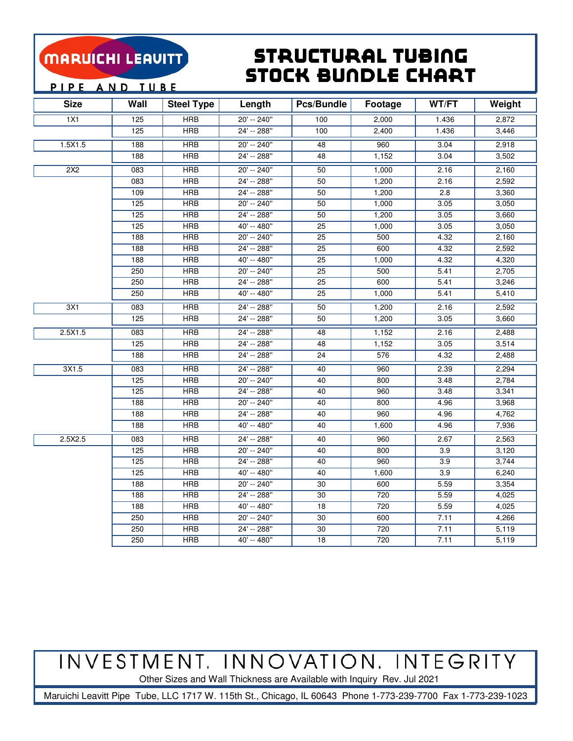### Structural Tubing Stock BunDle Chart

PIPE AND TUBE

| <b>Size</b> | Wall | <b>Steel Type</b> | Length        | Pcs/Bundle      | Footage | WT/FT | Weight |
|-------------|------|-------------------|---------------|-----------------|---------|-------|--------|
| 1X1         | 125  | <b>HRB</b>        | 20' -- 240"   | 100             | 2,000   | 1.436 | 2,872  |
|             | 125  | <b>HRB</b>        | 24' -- 288"   | 100             | 2,400   | 1.436 | 3,446  |
| 1.5X1.5     | 188  | <b>HRB</b>        | $20' - 240''$ | 48              | 960     | 3.04  | 2,918  |
|             | 188  | <b>HRB</b>        | 24' -- 288"   | 48              | 1,152   | 3.04  | 3,502  |
| 2X2         | 083  | <b>HRB</b>        | 20' -- 240"   | 50              | 1,000   | 2.16  | 2,160  |
|             | 083  | <b>HRB</b>        | 24' -- 288"   | 50              | 1,200   | 2.16  | 2,592  |
|             | 109  | <b>HRB</b>        | 24' -- 288"   | 50              | 1,200   | 2.8   | 3,360  |
|             | 125  | <b>HRB</b>        | 20' -- 240"   | 50              | 1,000   | 3.05  | 3,050  |
|             | 125  | HRB               | 24' -- 288"   | 50              | 1,200   | 3.05  | 3,660  |
|             | 125  | <b>HRB</b>        | 40' -- 480"   | 25              | 1,000   | 3.05  | 3,050  |
|             | 188  | <b>HRB</b>        | 20' -- 240"   | 25              | 500     | 4.32  | 2,160  |
|             | 188  | <b>HRB</b>        | 24' -- 288"   | 25              | 600     | 4.32  | 2,592  |
|             | 188  | <b>HRB</b>        | 40' -- 480"   | $\overline{25}$ | 1,000   | 4.32  | 4,320  |
|             | 250  | <b>HRB</b>        | 20' -- 240"   | 25              | 500     | 5.41  | 2,705  |
|             | 250  | <b>HRB</b>        | $24' - 288''$ | 25              | 600     | 5.41  | 3,246  |
|             | 250  | <b>HRB</b>        | $40' - 480''$ | 25              | 1,000   | 5.41  | 5,410  |
| 3X1         | 083  | <b>HRB</b>        | 24' -- 288"   | 50              | 1,200   | 2.16  | 2,592  |
|             | 125  | <b>HRB</b>        | 24' -- 288"   | 50              | 1,200   | 3.05  | 3,660  |
| 2.5X1.5     | 083  | <b>HRB</b>        | 24' -- 288"   | 48              | 1,152   | 2.16  | 2,488  |
|             | 125  | <b>HRB</b>        | 24' -- 288"   | 48              | 1,152   | 3.05  | 3,514  |
|             | 188  | <b>HRB</b>        | 24' -- 288"   | 24              | 576     | 4.32  | 2,488  |
| 3X1.5       | 083  | <b>HRB</b>        | 24' -- 288"   | 40              | 960     | 2.39  | 2,294  |
|             | 125  | <b>HRB</b>        | 20' -- 240"   | 40              | 800     | 3.48  | 2,784  |
|             | 125  | <b>HRB</b>        | 24' -- 288"   | 40              | 960     | 3.48  | 3,341  |
|             | 188  | <b>HRB</b>        | 20' -- 240"   | 40              | 800     | 4.96  | 3,968  |
|             | 188  | <b>HRB</b>        | 24' -- 288"   | 40              | 960     | 4.96  | 4,762  |
|             | 188  | <b>HRB</b>        | 40' -- 480"   | 40              | 1,600   | 4.96  | 7,936  |
| 2.5X2.5     | 083  | <b>HRB</b>        | 24' -- 288"   | 40              | 960     | 2.67  | 2,563  |
|             | 125  | <b>HRB</b>        | 20' -- 240"   | 40              | 800     | 3.9   | 3,120  |
|             | 125  | <b>HRB</b>        | 24' -- 288"   | 40              | 960     | 3.9   | 3,744  |
|             | 125  | <b>HRB</b>        | 40' -- 480"   | 40              | 1,600   | 3.9   | 6,240  |
|             | 188  | <b>HRB</b>        | 20' -- 240"   | 30              | 600     | 5.59  | 3,354  |
|             | 188  | <b>HRB</b>        | 24' -- 288"   | 30              | 720     | 5.59  | 4,025  |
|             | 188  | <b>HRB</b>        | 40' -- 480"   | 18              | 720     | 5.59  | 4,025  |
|             | 250  | <b>HRB</b>        | 20' -- 240"   | 30              | 600     | 7.11  | 4,266  |
|             | 250  | <b>HRB</b>        | 24' -- 288"   | 30              | 720     | 7.11  | 5,119  |
|             | 250  | <b>HRB</b>        | 40' -- 480"   | 18              | 720     | 7.11  | 5,119  |

INVESTMENT. INNOVATION. INTEGRITY

Other Sizes and Wall Thickness are Available with Inquiry Rev. Jul 2021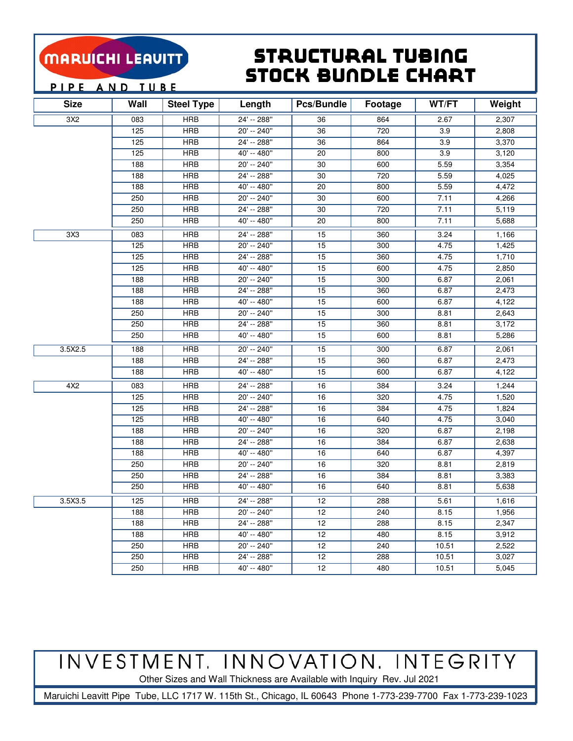#### Structural Tubing Stock BunDle Chart

PIPE AND TUBE

| <b>Size</b> | Wall             | <b>Steel Type</b> | Length        | Pcs/Bundle      | Footage | WT/FT | Weight |
|-------------|------------------|-------------------|---------------|-----------------|---------|-------|--------|
| 3X2         | 083              | <b>HRB</b>        | 24' -- 288"   | 36              | 864     | 2.67  | 2,307  |
|             | 125              | <b>HRB</b>        | $20' - 240''$ | 36              | 720     | 3.9   | 2,808  |
|             | 125              | <b>HRB</b>        | 24' -- 288"   | 36              | 864     | 3.9   | 3,370  |
|             | 125              | <b>HRB</b>        | 40' -- 480"   | 20              | 800     | 3.9   | 3,120  |
|             | 188              | <b>HRB</b>        | 20' -- 240"   | 30              | 600     | 5.59  | 3,354  |
|             | 188              | <b>HRB</b>        | 24' -- 288"   | 30              | 720     | 5.59  | 4,025  |
|             | 188              | <b>HRB</b>        | 40' -- 480"   | 20              | 800     | 5.59  | 4,472  |
|             | 250              | <b>HRB</b>        | 20' -- 240"   | 30              | 600     | 7.11  | 4,266  |
|             | 250              | <b>HRB</b>        | 24' -- 288"   | 30              | 720     | 7.11  | 5,119  |
|             | 250              | <b>HRB</b>        | 40' -- 480"   | 20              | 800     | 7.11  | 5,688  |
| 3X3         | 083              | <b>HRB</b>        | 24' -- 288"   | 15              | 360     | 3.24  | 1,166  |
|             | $\overline{125}$ | <b>HRB</b>        | $20' - 240''$ | 15              | 300     | 4.75  | 1,425  |
|             | 125              | <b>HRB</b>        | 24' -- 288"   | $\overline{15}$ | 360     | 4.75  | 1,710  |
|             | 125              | <b>HRB</b>        | 40' -- 480"   | 15              | 600     | 4.75  | 2,850  |
|             | 188              | <b>HRB</b>        | 20' -- 240"   | 15              | 300     | 6.87  | 2,061  |
|             | 188              | <b>HRB</b>        | 24' -- 288"   | 15              | 360     | 6.87  | 2,473  |
|             | 188              | <b>HRB</b>        | 40' -- 480"   | 15              | 600     | 6.87  | 4,122  |
|             | 250              | <b>HRB</b>        | 20' -- 240"   | 15              | 300     | 8.81  | 2,643  |
|             | 250              | <b>HRB</b>        | 24' -- 288"   | 15              | 360     | 8.81  | 3,172  |
|             | 250              | <b>HRB</b>        | 40' -- 480"   | 15              | 600     | 8.81  | 5,286  |
| 3.5X2.5     | 188              | <b>HRB</b>        | 20' -- 240"   | 15              | 300     | 6.87  | 2,061  |
|             | 188              | <b>HRB</b>        | 24' -- 288"   | 15              | 360     | 6.87  | 2,473  |
|             | 188              | <b>HRB</b>        | 40' -- 480"   | 15              | 600     | 6.87  | 4,122  |
| 4X2         | 083              | <b>HRB</b>        | 24' -- 288"   | 16              | 384     | 3.24  | 1,244  |
|             | 125              | <b>HRB</b>        | 20' -- 240"   | 16              | 320     | 4.75  | 1,520  |
|             | 125              | <b>HRB</b>        | 24' -- 288"   | 16              | 384     | 4.75  | 1,824  |
|             | 125              | <b>HRB</b>        | 40' -- 480"   | 16              | 640     | 4.75  | 3,040  |
|             | 188              | <b>HRB</b>        | 20' -- 240"   | 16              | 320     | 6.87  | 2,198  |
|             | 188              | <b>HRB</b>        | 24' -- 288"   | 16              | 384     | 6.87  | 2,638  |
|             | 188              | <b>HRB</b>        | 40' -- 480"   | 16              | 640     | 6.87  | 4,397  |
|             | 250              | <b>HRB</b>        | 20' -- 240"   | 16              | 320     | 8.81  | 2,819  |
|             | 250              | <b>HRB</b>        | 24' -- 288"   | 16              | 384     | 8.81  | 3,383  |
|             | 250              | <b>HRB</b>        | 40' -- 480"   | 16              | 640     | 8.81  | 5,638  |
| 3.5X3.5     | 125              | <b>HRB</b>        | 24' -- 288"   | $\overline{12}$ | 288     | 5.61  | 1,616  |
|             | 188              | <b>HRB</b>        | 20' -- 240"   | 12              | 240     | 8.15  | 1,956  |
|             | 188              | <b>HRB</b>        | 24' -- 288"   | 12              | 288     | 8.15  | 2,347  |
|             | 188              | <b>HRB</b>        | 40' -- 480"   | 12              | 480     | 8.15  | 3,912  |
|             | 250              | <b>HRB</b>        | 20' -- 240"   | 12              | 240     | 10.51 | 2,522  |
|             | 250              | <b>HRB</b>        | 24' -- 288"   | 12              | 288     | 10.51 | 3,027  |
|             | 250              | <b>HRB</b>        | 40' -- 480"   | 12              | 480     | 10.51 | 5,045  |

## INVESTMENT. INNOVATION. INTEGRITY

Other Sizes and Wall Thickness are Available with Inquiry Rev. Jul 2021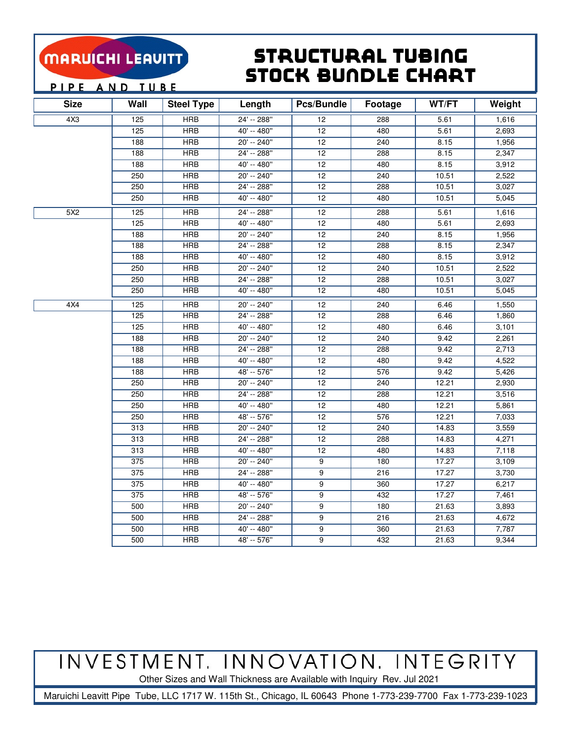### Structural Tubing Stock BunDle Chart

PIPE AND TUBE

| <b>Size</b> | Wall | <b>Steel Type</b>       | Length      | <b>Pcs/Bundle</b> | Footage | WT/FT | Weight |
|-------------|------|-------------------------|-------------|-------------------|---------|-------|--------|
| 4X3         | 125  | <b>HRB</b>              | 24' -- 288" | 12                | 288     | 5.61  | 1,616  |
|             | 125  | <b>HRB</b>              | 40' -- 480" | 12                | 480     | 5.61  | 2,693  |
|             | 188  | <b>HRB</b>              | 20' -- 240" | 12                | 240     | 8.15  | 1,956  |
|             | 188  | <b>HRB</b>              | 24' -- 288" | 12                | 288     | 8.15  | 2,347  |
|             | 188  | <b>HRB</b>              | 40' -- 480" | 12                | 480     | 8.15  | 3,912  |
|             | 250  | $\overline{\text{HRB}}$ | 20' -- 240" | 12                | 240     | 10.51 | 2,522  |
|             | 250  | <b>HRB</b>              | 24' -- 288" | 12                | 288     | 10.51 | 3,027  |
|             | 250  | <b>HRB</b>              | 40' -- 480" | 12                | 480     | 10.51 | 5,045  |
| 5X2         | 125  | <b>HRB</b>              | 24' -- 288" | 12                | 288     | 5.61  | 1,616  |
|             | 125  | <b>HRB</b>              | 40' -- 480" | 12                | 480     | 5.61  | 2,693  |
|             | 188  | <b>HRB</b>              | 20' -- 240" | 12                | 240     | 8.15  | 1,956  |
|             | 188  | <b>HRB</b>              | 24' -- 288" | 12                | 288     | 8.15  | 2,347  |
|             | 188  | <b>HRB</b>              | 40' -- 480" | 12                | 480     | 8.15  | 3,912  |
|             | 250  | <b>HRB</b>              | 20' -- 240" | 12                | 240     | 10.51 | 2,522  |
|             | 250  | <b>HRB</b>              | 24' -- 288" | 12                | 288     | 10.51 | 3,027  |
|             | 250  | <b>HRB</b>              | 40' -- 480" | 12                | 480     | 10.51 | 5,045  |
| 4X4         | 125  | <b>HRB</b>              | 20' -- 240" | 12                | 240     | 6.46  | 1,550  |
|             | 125  | <b>HRB</b>              | 24' -- 288" | 12                | 288     | 6.46  | 1,860  |
|             | 125  | <b>HRB</b>              | 40' -- 480" | 12                | 480     | 6.46  | 3,101  |
|             | 188  | <b>HRB</b>              | 20' -- 240" | 12                | 240     | 9.42  | 2,261  |
|             | 188  | <b>HRB</b>              | 24' -- 288" | 12                | 288     | 9.42  | 2,713  |
|             | 188  | <b>HRB</b>              | 40' -- 480" | 12                | 480     | 9.42  | 4,522  |
|             | 188  | <b>HRB</b>              | 48' -- 576" | 12                | 576     | 9.42  | 5,426  |
|             | 250  | <b>HRB</b>              | 20' -- 240" | 12                | 240     | 12.21 | 2,930  |
|             | 250  | <b>HRB</b>              | 24' -- 288" | 12                | 288     | 12.21 | 3,516  |
|             | 250  | <b>HRB</b>              | 40' -- 480" | 12                | 480     | 12.21 | 5,861  |
|             | 250  | <b>HRB</b>              | 48' -- 576" | 12                | 576     | 12.21 | 7,033  |
|             | 313  | <b>HRB</b>              | 20' -- 240" | 12                | 240     | 14.83 | 3,559  |
|             | 313  | <b>HRB</b>              | 24' -- 288" | 12                | 288     | 14.83 | 4,271  |
|             | 313  | <b>HRB</b>              | 40' -- 480" | 12                | 480     | 14.83 | 7,118  |
|             | 375  | $\overline{\text{HRB}}$ | 20' -- 240" | 9                 | 180     | 17.27 | 3,109  |
|             | 375  | <b>HRB</b>              | 24' -- 288" | 9                 | 216     | 17.27 | 3,730  |
|             | 375  | <b>HRB</b>              | 40' -- 480" | 9                 | 360     | 17.27 | 6,217  |
|             | 375  | <b>HRB</b>              | 48' -- 576" | 9                 | 432     | 17.27 | 7,461  |
|             | 500  | <b>HRB</b>              | 20' -- 240" | 9                 | 180     | 21.63 | 3,893  |
|             | 500  | <b>HRB</b>              | 24' -- 288" | 9                 | 216     | 21.63 | 4,672  |
|             | 500  | <b>HRB</b>              | 40' -- 480" | 9                 | 360     | 21.63 | 7,787  |
|             | 500  | <b>HRB</b>              | 48' -- 576" | 9                 | 432     | 21.63 | 9,344  |

INVESTMENT. INNOVATION. INTEGRITY

Other Sizes and Wall Thickness are Available with Inquiry Rev. Jul 2021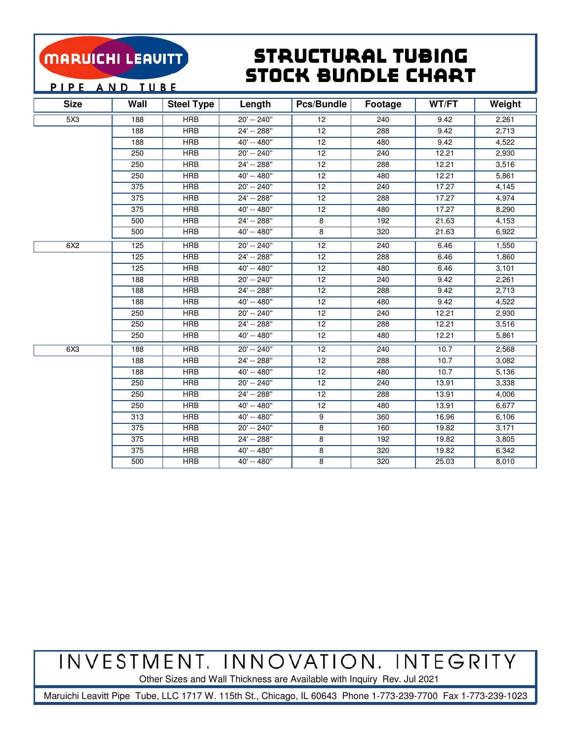### Structural Tubing Stock BunDle Chart

PIPE AND TUBE

| <b>Size</b> | Wall | <b>Steel Type</b> | Length        | <b>Pcs/Bundle</b> | Footage | WT/FT | Weight |
|-------------|------|-------------------|---------------|-------------------|---------|-------|--------|
| 5X3         | 188  | <b>HRB</b>        | 20' -- 240"   | 12                | 240     | 9.42  | 2,261  |
|             | 188  | <b>HRB</b>        | 24' -- 288"   | 12                | 288     | 9.42  | 2.713  |
|             | 188  | <b>HRB</b>        | 40' -- 480"   | 12                | 480     | 9.42  | 4,522  |
|             | 250  | HRB               | $20' - 240''$ | 12                | 240     | 12.21 | 2,930  |
|             | 250  | HRB               | 24' -- 288"   | 12                | 288     | 12.21 | 3,516  |
|             | 250  | HRB               | $40' - 480''$ | 12                | 480     | 12.21 | 5,861  |
|             | 375  | HRB               | $20' - 240''$ | 12                | 240     | 17.27 | 4,145  |
|             | 375  | <b>HRB</b>        | $24' - 288''$ | 12                | 288     | 17.27 | 4,974  |
|             | 375  | <b>HRB</b>        | 40' -- 480"   | 12                | 480     | 17.27 | 8,290  |
|             | 500  | <b>HRB</b>        | 24' -- 288"   | 8                 | 192     | 21.63 | 4,153  |
|             | 500  | <b>HRB</b>        | 40' -- 480"   | 8                 | 320     | 21.63 | 6,922  |
| 6X2         | 125  | HRB               | 20' -- 240"   | 12                | 240     | 6.46  | 1,550  |
|             | 125  | <b>HRB</b>        | 24' -- 288"   | 12                | 288     | 6.46  | 1,860  |
|             | 125  | <b>HRB</b>        | 40' -- 480"   | 12                | 480     | 6.46  | 3,101  |
|             | 188  | <b>HRB</b>        | 20' -- 240"   | 12                | 240     | 9.42  | 2,261  |
|             | 188  | HRB               | 24' -- 288"   | $\overline{12}$   | 288     | 9.42  | 2.713  |
|             | 188  | <b>HRB</b>        | 40' -- 480"   | 12                | 480     | 9.42  | 4,522  |
|             | 250  | <b>HRB</b>        | 20' -- 240"   | 12                | 240     | 12.21 | 2,930  |
|             | 250  | HRB               | 24' -- 288"   | $\overline{12}$   | 288     | 12.21 | 3,516  |
|             | 250  | <b>HRB</b>        | 40' -- 480"   | 12                | 480     | 12.21 | 5,861  |
| 6X3         | 188  | <b>HRB</b>        | 20' -- 240"   | 12                | 240     | 10.7  | 2,568  |
|             | 188  | <b>HRB</b>        | 24' -- 288"   | 12                | 288     | 10.7  | 3,082  |
|             | 188  | <b>HRB</b>        | 40' -- 480"   | 12                | 480     | 10.7  | 5,136  |
|             | 250  | <b>HRB</b>        | 20' -- 240"   | 12                | 240     | 13.91 | 3,338  |
|             | 250  | <b>HRB</b>        | 24' -- 288"   | 12                | 288     | 13.91 | 4,006  |
|             | 250  | <b>HRB</b>        | 40' -- 480"   | 12                | 480     | 13.91 | 6,677  |
|             | 313  | <b>HRB</b>        | 40' -- 480"   | 9                 | 360     | 16.96 | 6,106  |
|             | 375  | <b>HRB</b>        | 20' -- 240"   | 8                 | 160     | 19.82 | 3,171  |
|             | 375  | <b>HRB</b>        | 24' -- 288"   | 8                 | 192     | 19.82 | 3,805  |
|             | 375  | <b>HRB</b>        | 40' -- 480"   | 8                 | 320     | 19.82 | 6,342  |
|             | 500  | <b>HRB</b>        | $40' - 480''$ | 8                 | 320     | 25.03 | 8,010  |

## INVESTMENT. INNOVATION. INTEGRITY

Other Sizes and Wall Thickness are Available with Inquiry Rev. Jul 2021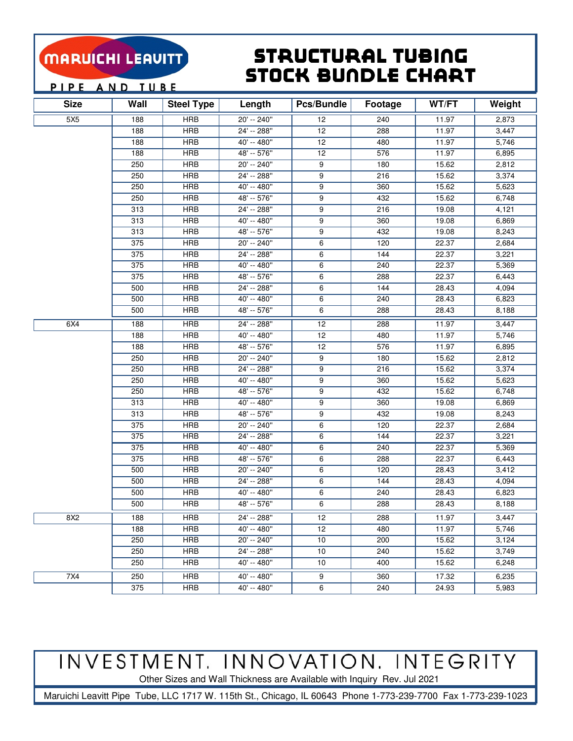### Structural Tubing Stock BunDle Chart

PIPE AND TUBE

| <b>Size</b> | Wall | <b>Steel Type</b> | Length      | Pcs/Bundle      | Footage | WT/FT | Weight |
|-------------|------|-------------------|-------------|-----------------|---------|-------|--------|
| 5X5         | 188  | <b>HRB</b>        | 20' -- 240" | 12              | 240     | 11.97 | 2,873  |
|             | 188  | <b>HRB</b>        | 24' -- 288" | 12              | 288     | 11.97 | 3,447  |
|             | 188  | <b>HRB</b>        | 40' -- 480" | 12              | 480     | 11.97 | 5,746  |
|             | 188  | <b>HRB</b>        | 48' -- 576" | 12              | 576     | 11.97 | 6,895  |
|             | 250  | <b>HRB</b>        | 20' -- 240" | 9               | 180     | 15.62 | 2,812  |
|             | 250  | <b>HRB</b>        | 24' -- 288" | 9               | 216     | 15.62 | 3,374  |
|             | 250  | <b>HRB</b>        | 40' -- 480" | 9               | 360     | 15.62 | 5,623  |
|             | 250  | <b>HRB</b>        | 48' -- 576" | 9               | 432     | 15.62 | 6,748  |
|             | 313  | <b>HRB</b>        | 24' -- 288" | 9               | 216     | 19.08 | 4,121  |
|             | 313  | <b>HRB</b>        | 40' -- 480" | 9               | 360     | 19.08 | 6,869  |
|             | 313  | <b>HRB</b>        | 48' -- 576" | 9               | 432     | 19.08 | 8,243  |
|             | 375  | <b>HRB</b>        | 20' -- 240" | 6               | 120     | 22.37 | 2,684  |
|             | 375  | <b>HRB</b>        | 24' -- 288" | 6               | 144     | 22.37 | 3,221  |
|             | 375  | <b>HRB</b>        | 40' -- 480" | 6               | 240     | 22.37 | 5,369  |
|             | 375  | <b>HRB</b>        | 48' -- 576" | 6               | 288     | 22.37 | 6,443  |
|             | 500  | <b>HRB</b>        | 24' -- 288" | 6               | 144     | 28.43 | 4,094  |
|             | 500  | <b>HRB</b>        | 40' -- 480" | 6               | 240     | 28.43 | 6,823  |
|             | 500  | <b>HRB</b>        | 48' -- 576" | 6               | 288     | 28.43 | 8,188  |
| 6X4         | 188  | <b>HRB</b>        | 24' -- 288" | 12              | 288     | 11.97 | 3,447  |
|             | 188  | <b>HRB</b>        | 40' -- 480" | 12              | 480     | 11.97 | 5,746  |
|             | 188  | <b>HRB</b>        | 48' -- 576" | 12              | 576     | 11.97 | 6,895  |
|             | 250  | <b>HRB</b>        | 20' -- 240" | 9               | 180     | 15.62 | 2,812  |
|             | 250  | <b>HRB</b>        | 24' -- 288" | 9               | 216     | 15.62 | 3,374  |
|             | 250  | <b>HRB</b>        | 40' -- 480" | 9               | 360     | 15.62 | 5,623  |
|             | 250  | <b>HRB</b>        | 48' -- 576" | 9               | 432     | 15.62 | 6,748  |
|             | 313  | <b>HRB</b>        | 40' -- 480" | 9               | 360     | 19.08 | 6,869  |
|             | 313  | <b>HRB</b>        | 48' -- 576" | 9               | 432     | 19.08 | 8,243  |
|             | 375  | <b>HRB</b>        | 20' -- 240" | 6               | 120     | 22.37 | 2,684  |
|             | 375  | <b>HRB</b>        | 24' -- 288" | 6               | 144     | 22.37 | 3,221  |
|             | 375  | <b>HRB</b>        | 40' -- 480" | 6               | 240     | 22.37 | 5,369  |
|             | 375  | <b>HRB</b>        | 48' -- 576" | 6               | 288     | 22.37 | 6,443  |
|             | 500  | <b>HRB</b>        | 20' -- 240" | 6               | 120     | 28.43 | 3,412  |
|             | 500  | <b>HRB</b>        | 24' -- 288" | 6               | 144     | 28.43 | 4,094  |
|             | 500  | <b>HRB</b>        | 40' -- 480" | 6               | 240     | 28.43 | 6,823  |
|             | 500  | <b>HRB</b>        | 48' -- 576" | 6               | 288     | 28.43 | 8,188  |
| 8X2         | 188  | HRB               | 24' -- 288" | 12              | 288     | 11.97 | 3,447  |
|             | 188  | <b>HRB</b>        | 40' -- 480" | 12              | 480     | 11.97 | 5,746  |
|             | 250  | <b>HRB</b>        | 20' -- 240" | 10 <sup>1</sup> | 200     | 15.62 | 3,124  |
|             | 250  | <b>HRB</b>        | 24' -- 288" | 10 <sup>1</sup> | 240     | 15.62 | 3,749  |
|             | 250  | <b>HRB</b>        | 40' -- 480" | 10 <sup>1</sup> | 400     | 15.62 | 6,248  |
| 7X4         | 250  | <b>HRB</b>        | 40' -- 480" | 9               | 360     | 17.32 | 6,235  |
|             | 375  | <b>HRB</b>        | 40' -- 480" | 6               | 240     | 24.93 | 5,983  |

## INVESTMENT. INNOVATION. INTEGRITY

Other Sizes and Wall Thickness are Available with Inquiry Rev. Jul 2021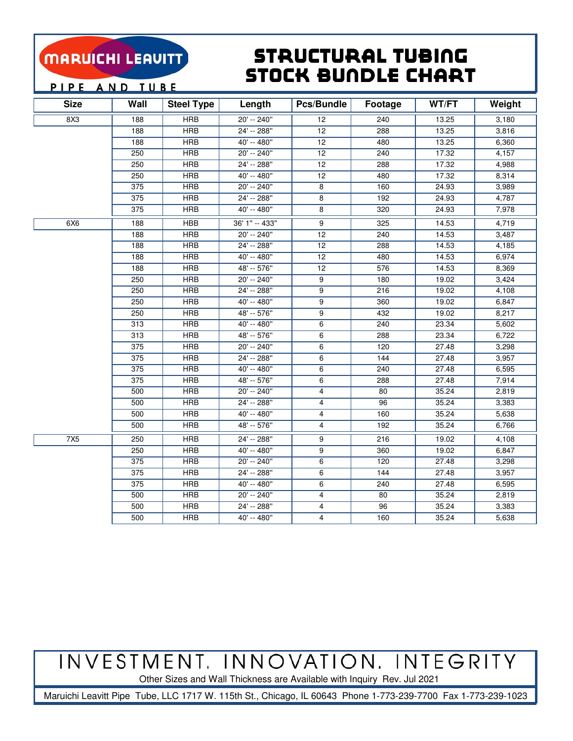### Structural Tubing Stock BunDle Chart

PIPE AND TUBE

| <b>Size</b> | Wall             | <b>Steel Type</b> | Length         | Pcs/Bundle      | <b>Footage</b> | WT/FT | Weight |
|-------------|------------------|-------------------|----------------|-----------------|----------------|-------|--------|
| 8X3         | 188              | <b>HRB</b>        | 20' -- 240"    | 12              | 240            | 13.25 | 3,180  |
|             | 188              | <b>HRB</b>        | 24' -- 288"    | 12              | 288            | 13.25 | 3,816  |
|             | 188              | <b>HRB</b>        | 40' -- 480"    | 12              | 480            | 13.25 | 6,360  |
|             | 250              | <b>HRB</b>        | $20' - 240''$  | $\overline{12}$ | 240            | 17.32 | 4,157  |
|             | 250              | <b>HRB</b>        | $24' - 288''$  | 12              | 288            | 17.32 | 4,988  |
|             | 250              | <b>HRB</b>        | 40' -- 480"    | 12              | 480            | 17.32 | 8,314  |
|             | $\overline{375}$ | <b>HRB</b>        | $20' - 240''$  | 8               | 160            | 24.93 | 3,989  |
|             | 375              | <b>HRB</b>        | $24' - 288''$  | 8               | 192            | 24.93 | 4,787  |
|             | 375              | <b>HRB</b>        | 40' -- 480"    | 8               | 320            | 24.93 | 7,978  |
| 6X6         | 188              | <b>HBB</b>        | 36' 1" -- 433" | 9               | 325            | 14.53 | 4,719  |
|             | 188              | <b>HRB</b>        | $20' - 240''$  | 12              | 240            | 14.53 | 3,487  |
|             | 188              | <b>HRB</b>        | 24' -- 288"    | $\overline{12}$ | 288            | 14.53 | 4,185  |
|             | 188              | <b>HRB</b>        | $40' - 480''$  | 12              | 480            | 14.53 | 6,974  |
|             | 188              | <b>HRB</b>        | 48' -- 576"    | 12              | 576            | 14.53 | 8,369  |
|             | 250              | <b>HRB</b>        | 20' -- 240"    | 9               | 180            | 19.02 | 3,424  |
|             | 250              | <b>HRB</b>        | 24' -- 288"    | 9               | 216            | 19.02 | 4,108  |
|             | 250              | <b>HRB</b>        | $40' - 480''$  | 9               | 360            | 19.02 | 6,847  |
|             | 250              | <b>HRB</b>        | 48' -- 576"    | 9               | 432            | 19.02 | 8,217  |
|             | 313              | <b>HRB</b>        | 40' -- 480"    | 6               | 240            | 23.34 | 5,602  |
|             | 313              | <b>HRB</b>        | 48' -- 576"    | 6               | 288            | 23.34 | 6,722  |
|             | 375              | <b>HRB</b>        | 20' -- 240"    | 6               | 120            | 27.48 | 3,298  |
|             | 375              | <b>HRB</b>        | 24' -- 288"    | 6               | 144            | 27.48 | 3,957  |
|             | 375              | <b>HRB</b>        | 40' -- 480"    | 6               | 240            | 27.48 | 6,595  |
|             | 375              | <b>HRB</b>        | 48' -- 576"    | 6               | 288            | 27.48 | 7,914  |
|             | 500              | <b>HRB</b>        | 20' -- 240"    | 4               | 80             | 35.24 | 2,819  |
|             | 500              | <b>HRB</b>        | 24' -- 288"    | 4               | 96             | 35.24 | 3,383  |
|             | 500              | <b>HRB</b>        | 40' -- 480"    | 4               | 160            | 35.24 | 5,638  |
|             | 500              | <b>HRB</b>        | 48' -- 576"    | 4               | 192            | 35.24 | 6,766  |
| 7X5         | 250              | <b>HRB</b>        | 24' -- 288"    | 9               | 216            | 19.02 | 4,108  |
|             | 250              | <b>HRB</b>        | 40' -- 480"    | 9               | 360            | 19.02 | 6,847  |
|             | 375              | <b>HRB</b>        | 20' -- 240"    | 6               | 120            | 27.48 | 3,298  |
|             | 375              | <b>HRB</b>        | 24' -- 288"    | 6               | 144            | 27.48 | 3,957  |
|             | 375              | <b>HRB</b>        | 40' -- 480"    | 6               | 240            | 27.48 | 6,595  |
|             | 500              | <b>HRB</b>        | $20' - 240''$  | 4               | 80             | 35.24 | 2,819  |
|             | 500              | <b>HRB</b>        | 24' -- 288"    | 4               | 96             | 35.24 | 3,383  |
|             | 500              | <b>HRB</b>        | 40' -- 480"    | 4               | 160            | 35.24 | 5,638  |

INVESTMENT. INNOVATION. INTEGRITY

Other Sizes and Wall Thickness are Available with Inquiry Rev. Jul 2021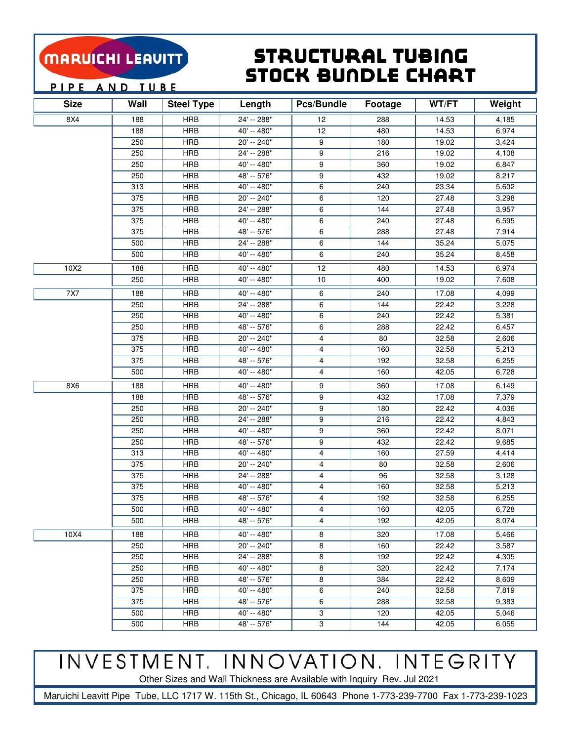### Structural Tubing Stock BunDle Chart

PIPE AND TUBE

| <b>Size</b> | Wall | <b>Steel Type</b> | Length      | Pcs/Bundle | <b>Footage</b> | WT/FT | Weight |
|-------------|------|-------------------|-------------|------------|----------------|-------|--------|
| 8X4         | 188  | <b>HRB</b>        | 24' -- 288" | 12         | 288            | 14.53 | 4,185  |
|             | 188  | <b>HRB</b>        | 40' -- 480" | 12         | 480            | 14.53 | 6,974  |
|             | 250  | <b>HRB</b>        | 20' -- 240" | 9          | 180            | 19.02 | 3,424  |
|             | 250  | <b>HRB</b>        | 24' -- 288" | 9          | 216            | 19.02 | 4,108  |
|             | 250  | <b>HRB</b>        | 40' -- 480" | 9          | 360            | 19.02 | 6,847  |
|             | 250  | <b>HRB</b>        | 48' -- 576" | 9          | 432            | 19.02 | 8,217  |
|             | 313  | <b>HRB</b>        | 40' -- 480" | 6          | 240            | 23.34 | 5,602  |
|             | 375  | <b>HRB</b>        | 20' -- 240" | 6          | 120            | 27.48 | 3,298  |
|             | 375  | <b>HRB</b>        | 24' -- 288" | 6          | 144            | 27.48 | 3,957  |
|             | 375  | <b>HRB</b>        | 40' -- 480" | 6          | 240            | 27.48 | 6,595  |
|             | 375  | <b>HRB</b>        | 48' -- 576" | 6          | 288            | 27.48 | 7,914  |
|             | 500  | <b>HRB</b>        | 24' -- 288" | 6          | 144            | 35.24 | 5,075  |
|             | 500  | <b>HRB</b>        | 40' -- 480" | 6          | 240            | 35.24 | 8,458  |
| 10X2        | 188  | <b>HRB</b>        | 40' -- 480" | 12         | 480            | 14.53 | 6,974  |
|             | 250  | <b>HRB</b>        | 40' -- 480" | 10         | 400            | 19.02 | 7,608  |
| 7X7         | 188  | <b>HRB</b>        | 40' -- 480" | 6          | 240            | 17.08 | 4,099  |
|             | 250  | <b>HRB</b>        | 24' -- 288" | 6          | 144            | 22.42 | 3,228  |
|             | 250  | <b>HRB</b>        | 40' -- 480" | 6          | 240            | 22.42 | 5,381  |
|             | 250  | <b>HRB</b>        | 48' -- 576" | 6          | 288            | 22.42 | 6,457  |
|             | 375  | <b>HRB</b>        | 20' -- 240" | 4          | 80             | 32.58 | 2,606  |
|             | 375  | <b>HRB</b>        | 40' -- 480" | 4          | 160            | 32.58 | 5,213  |
|             | 375  | <b>HRB</b>        | 48' -- 576" | 4          | 192            | 32.58 | 6,255  |
|             | 500  | <b>HRB</b>        | 40' -- 480" | 4          | 160            | 42.05 | 6,728  |
| 8X6         | 188  | <b>HRB</b>        | 40' -- 480" | 9          | 360            | 17.08 | 6,149  |
|             | 188  | <b>HRB</b>        | 48' -- 576" | 9          | 432            | 17.08 | 7,379  |
|             | 250  | <b>HRB</b>        | 20' -- 240" | 9          | 180            | 22.42 | 4,036  |
|             | 250  | <b>HRB</b>        | 24' -- 288" | 9          | 216            | 22.42 | 4,843  |
|             | 250  | <b>HRB</b>        | 40' -- 480" | 9          | 360            | 22.42 | 8,071  |
|             | 250  | <b>HRB</b>        | 48' -- 576" | 9          | 432            | 22.42 | 9,685  |
|             | 313  | <b>HRB</b>        | 40' -- 480" | 4          | 160            | 27.59 | 4,414  |
|             | 375  | <b>HRB</b>        | 20' -- 240" | 4          | 80             | 32.58 | 2,606  |
|             | 375  | <b>HRB</b>        | 24' -- 288" | 4          | 96             | 32.58 | 3,128  |
|             | 375  | <b>HRB</b>        | 40' -- 480" | 4          | 160            | 32.58 | 5,213  |
|             | 375  | <b>HRB</b>        | 48' -- 576" | 4          | 192            | 32.58 | 6,255  |
|             | 500  | <b>HRB</b>        | 40' -- 480" | 4          | 160            | 42.05 | 6,728  |
|             | 500  | <b>HRB</b>        | 48' -- 576" | 4          | 192            | 42.05 | 8,074  |
| 10X4        | 188  | <b>HRB</b>        | 40' -- 480" | 8          | 320            | 17.08 | 5,466  |
|             | 250  | <b>HRB</b>        | 20' -- 240" | 8          | 160            | 22.42 | 3,587  |
|             | 250  | <b>HRB</b>        | 24' -- 288" | 8          | 192            | 22.42 | 4,305  |
|             | 250  | <b>HRB</b>        | 40' -- 480" | 8          | 320            | 22.42 | 7,174  |
|             | 250  | <b>HRB</b>        | 48' -- 576" | 8          | 384            | 22.42 | 8,609  |
|             | 375  | <b>HRB</b>        | 40' -- 480" | 6          | 240            | 32.58 | 7,819  |
|             | 375  | <b>HRB</b>        | 48' -- 576" | 6          | 288            | 32.58 | 9,383  |
|             | 500  | <b>HRB</b>        | 40' -- 480" | 3          | 120            | 42.05 | 5,046  |
|             | 500  | <b>HRB</b>        | 48' -- 576" | 3          | 144            | 42.05 | 6,055  |

# INVESTMENT. INNOVATION. INTEGRITY

Other Sizes and Wall Thickness are Available with Inquiry Rev. Jul 2021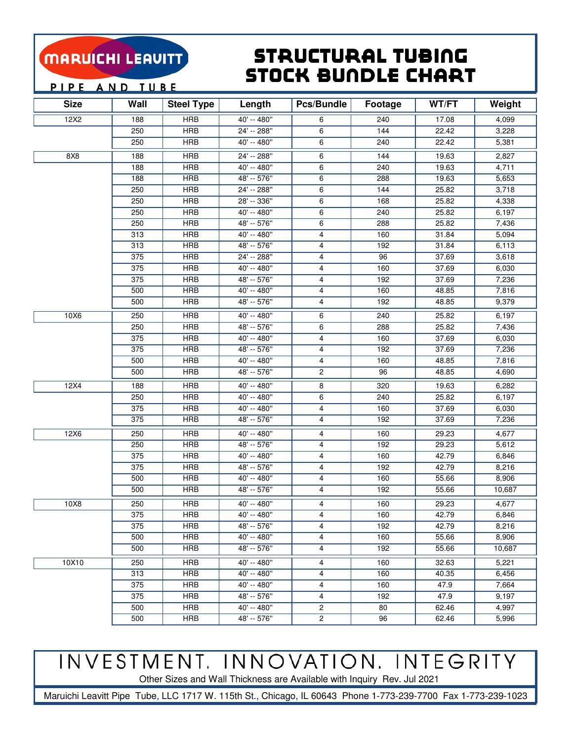### Structural Tubing Stock BunDle Chart

PIPE AND TUBE

| <b>Size</b>     | Wall             | <b>Steel Type</b> | Length        | <b>Pcs/Bundle</b> | Footage | WT/FT | Weight |
|-----------------|------------------|-------------------|---------------|-------------------|---------|-------|--------|
| 12X2            | 188              | <b>HRB</b>        | 40' -- 480"   | 6                 | 240     | 17.08 | 4,099  |
|                 | 250              | <b>HRB</b>        | 24' -- 288"   | 6                 | 144     | 22.42 | 3,228  |
|                 | 250              | <b>HRB</b>        | 40' -- 480"   | 6                 | 240     | 22.42 | 5,381  |
| 8X <sub>8</sub> | 188              | <b>HRB</b>        | 24' -- 288"   | 6                 | 144     | 19.63 | 2,827  |
|                 | 188              | <b>HRB</b>        | 40' -- 480"   | 6                 | 240     | 19.63 | 4,711  |
|                 | 188              | <b>HRB</b>        | 48' -- 576"   | 6                 | 288     | 19.63 | 5,653  |
|                 | 250              | <b>HRB</b>        | $24' - 288''$ | 6                 | 144     | 25.82 | 3,718  |
|                 | 250              | <b>HRB</b>        | 28' -- 336"   | 6                 | 168     | 25.82 | 4,338  |
|                 | 250              | <b>HRB</b>        | 40' -- 480"   | 6                 | 240     | 25.82 | 6,197  |
|                 | 250              | <b>HRB</b>        | 48' -- 576"   | 6                 | 288     | 25.82 | 7,436  |
|                 | 313              | <b>HRB</b>        | 40' -- 480"   | 4                 | 160     | 31.84 | 5,094  |
|                 | 313              | <b>HRB</b>        | 48' -- 576"   | $\overline{4}$    | 192     | 31.84 | 6,113  |
|                 | 375              | <b>HRB</b>        | $24' - 288''$ | 4                 | 96      | 37.69 | 3,618  |
|                 | 375              | <b>HRB</b>        | 40' -- 480"   | 4                 | 160     | 37.69 | 6,030  |
|                 | 375              | <b>HRB</b>        | 48' -- 576"   | 4                 | 192     | 37.69 | 7,236  |
|                 | 500              | <b>HRB</b>        | 40' -- 480"   | 4                 | 160     | 48.85 | 7,816  |
|                 | 500              | <b>HRB</b>        | 48' -- 576"   | 4                 | 192     | 48.85 | 9,379  |
| 10X6            | 250              | <b>HRB</b>        | 40' -- 480"   | 6                 | 240     | 25.82 | 6,197  |
|                 | 250              | <b>HRB</b>        | 48' -- 576"   | 6                 | 288     | 25.82 | 7,436  |
|                 | 375              | <b>HRB</b>        | 40' -- 480"   | 4                 | 160     | 37.69 | 6,030  |
|                 | 375              | <b>HRB</b>        | 48' -- 576"   | 4                 | 192     | 37.69 | 7,236  |
|                 | 500              | <b>HRB</b>        | 40' -- 480"   | 4                 | 160     | 48.85 | 7,816  |
|                 | 500              | <b>HRB</b>        | 48' -- 576"   | 2                 | 96      | 48.85 | 4,690  |
| 12X4            | 188              | <b>HRB</b>        | 40' -- 480"   | 8                 | 320     | 19.63 | 6,282  |
|                 | 250              | <b>HRB</b>        | 40' -- 480"   | 6                 | 240     | 25.82 | 6,197  |
|                 | 375              | <b>HRB</b>        | 40' -- 480"   | 4                 | 160     | 37.69 | 6,030  |
|                 | 375              | <b>HRB</b>        | $48' - 576''$ | 4                 | 192     | 37.69 | 7,236  |
| 12X6            | 250              | <b>HRB</b>        | 40' -- 480"   | 4                 | 160     | 29.23 | 4,677  |
|                 | 250              | <b>HRB</b>        | 48' -- 576"   | 4                 | 192     | 29.23 | 5,612  |
|                 | 375              | <b>HRB</b>        | 40' -- 480"   | 4                 | 160     | 42.79 | 6,846  |
|                 | 375              | <b>HRB</b>        | 48' -- 576"   | 4                 | 192     | 42.79 | 8,216  |
|                 | 500              | <b>HRB</b>        | 40' -- 480"   | 4                 | 160     | 55.66 | 8,906  |
|                 | 500              | <b>HRB</b>        | $48' - 576''$ | 4                 | 192     | 55.66 | 10,687 |
| 10X8            | 250              | <b>HRB</b>        | 40' -- 480"   | 4                 | 160     | 29.23 | 4,677  |
|                 | $\overline{375}$ | <b>HRB</b>        | $40' - 480''$ | 4                 | 160     | 42.79 | 6,846  |
|                 | 375              | <b>HRB</b>        | 48' -- 576"   | 4                 | 192     | 42.79 | 8,216  |
|                 | 500              | <b>HRB</b>        | 40' -- 480"   | 4                 | 160     | 55.66 | 8,906  |
|                 | 500              | <b>HRB</b>        | 48' -- 576"   | 4                 | 192     | 55.66 | 10,687 |
| 10X10           | 250              | <b>HRB</b>        | 40' -- 480"   | 4                 | 160     | 32.63 | 5,221  |
|                 | 313              | <b>HRB</b>        | 40' -- 480"   | 4                 | 160     | 40.35 | 6,456  |
|                 | 375              | <b>HRB</b>        | 40' -- 480"   | 4                 | 160     | 47.9  | 7,664  |
|                 | 375              | <b>HRB</b>        | 48' -- 576"   | 4                 | 192     | 47.9  | 9,197  |
|                 | 500              | <b>HRB</b>        | 40' -- 480"   | 2                 | 80      | 62.46 | 4,997  |
|                 | 500              | <b>HRB</b>        | 48' -- 576"   | $\overline{c}$    | 96      | 62.46 | 5,996  |

# INVESTMENT. INNOVATION. INTEGRITY

Other Sizes and Wall Thickness are Available with Inquiry Rev. Jul 2021